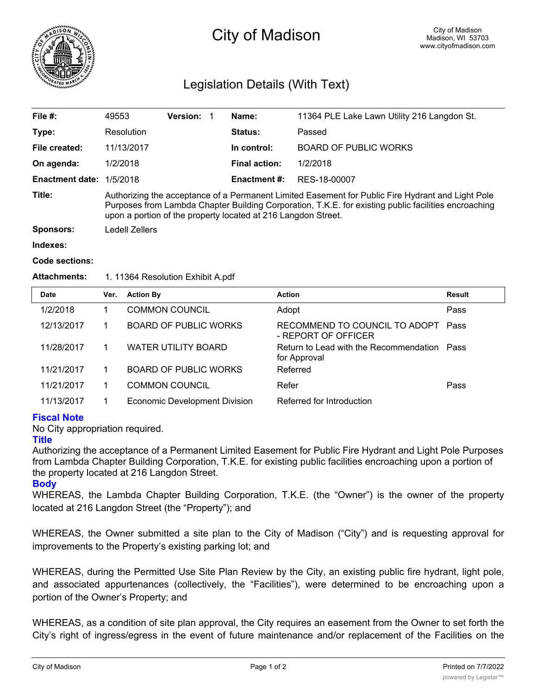

# City of Madison

## Legislation Details (With Text)

| File #:                | 49553                                                                                                                                                                                                                                                                      | <b>Version: 1</b> |  | Name:                | 11364 PLE Lake Lawn Utility 216 Langdon St. |  |  |
|------------------------|----------------------------------------------------------------------------------------------------------------------------------------------------------------------------------------------------------------------------------------------------------------------------|-------------------|--|----------------------|---------------------------------------------|--|--|
| Type:                  | Resolution                                                                                                                                                                                                                                                                 |                   |  | <b>Status:</b>       | Passed                                      |  |  |
| File created:          | 11/13/2017                                                                                                                                                                                                                                                                 |                   |  | In control:          | <b>BOARD OF PUBLIC WORKS</b>                |  |  |
| On agenda:             | 1/2/2018                                                                                                                                                                                                                                                                   |                   |  | <b>Final action:</b> | 1/2/2018                                    |  |  |
| <b>Enactment date:</b> | 1/5/2018                                                                                                                                                                                                                                                                   |                   |  | <b>Enactment #:</b>  | RES-18-00007                                |  |  |
| Title:                 | Authorizing the acceptance of a Permanent Limited Easement for Public Fire Hydrant and Light Pole<br>Purposes from Lambda Chapter Building Corporation, T.K.E. for existing public facilities encroaching<br>upon a portion of the property located at 216 Langdon Street. |                   |  |                      |                                             |  |  |
| <b>Sponsors:</b>       | Ledell Zellers                                                                                                                                                                                                                                                             |                   |  |                      |                                             |  |  |
| Indexes:               |                                                                                                                                                                                                                                                                            |                   |  |                      |                                             |  |  |
|                        |                                                                                                                                                                                                                                                                            |                   |  |                      |                                             |  |  |

#### **Code sections:**

#### Attachments: 1. 11364 Resolution Exhibit A.pdf

| Date       | Ver. | <b>Action By</b>                     | <b>Action</b>                                               | Result |
|------------|------|--------------------------------------|-------------------------------------------------------------|--------|
| 1/2/2018   |      | <b>COMMON COUNCIL</b>                | Adopt                                                       | Pass   |
| 12/13/2017 |      | <b>BOARD OF PUBLIC WORKS</b>         | RECOMMEND TO COUNCIL TO ADOPT<br>- REPORT OF OFFICER        | Pass   |
| 11/28/2017 |      | <b>WATER UTILITY BOARD</b>           | Return to Lead with the Recommendation Pass<br>for Approval |        |
| 11/21/2017 |      | <b>BOARD OF PUBLIC WORKS</b>         | Referred                                                    |        |
| 11/21/2017 |      | <b>COMMON COUNCIL</b>                | Refer                                                       | Pass   |
| 11/13/2017 |      | <b>Economic Development Division</b> | Referred for Introduction                                   |        |

### **Fiscal Note**

No City appropriation required.

### **Title**

Authorizing the acceptance of a Permanent Limited Easement for Public Fire Hydrant and Light Pole Purposes from Lambda Chapter Building Corporation, T.K.E. for existing public facilities encroaching upon a portion of the property located at 216 Langdon Street.

### **Body**

WHEREAS, the Lambda Chapter Building Corporation, T.K.E. (the "Owner") is the owner of the property located at 216 Langdon Street (the "Property"); and

WHEREAS, the Owner submitted a site plan to the City of Madison ("City") and is requesting approval for improvements to the Property's existing parking lot; and

WHEREAS, during the Permitted Use Site Plan Review by the City, an existing public fire hydrant, light pole, and associated appurtenances (collectively, the "Facilities"), were determined to be encroaching upon a portion of the Owner's Property; and

WHEREAS, as a condition of site plan approval, the City requires an easement from the Owner to set forth the City's right of ingress/egress in the event of future maintenance and/or replacement of the Facilities on the